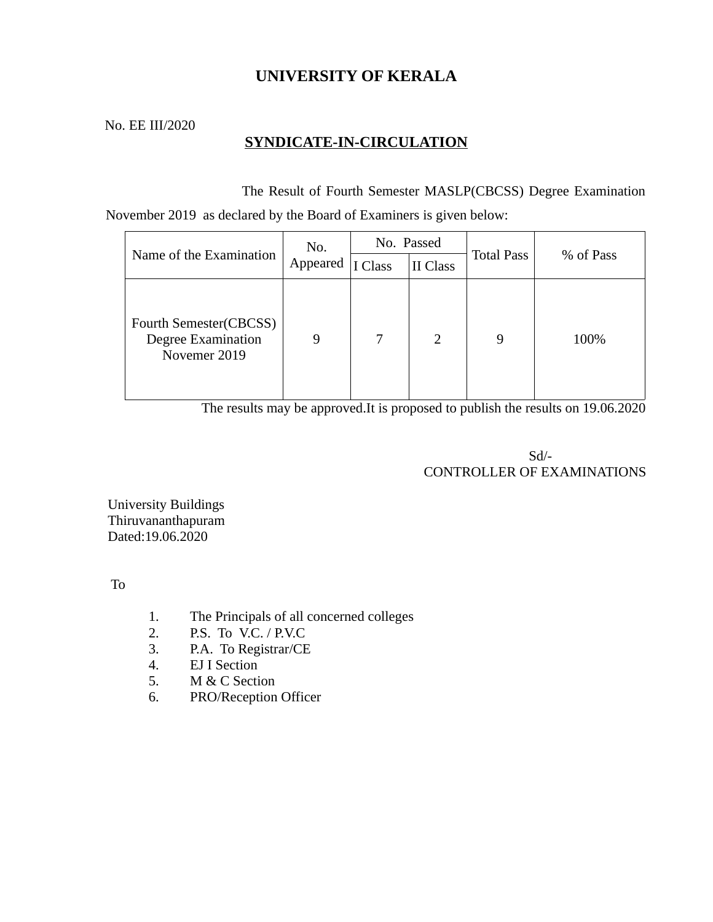# **UNIVERSITY OF KERALA**

No. EE III/2020

# **SYNDICATE-IN-CIRCULATION**

 The Result of Fourth Semester MASLP(CBCSS) Degree Examination November 2019 as declared by the Board of Examiners is given below:

| Name of the Examination                                      | No.<br>Appeared | No. Passed |               |                   |           |
|--------------------------------------------------------------|-----------------|------------|---------------|-------------------|-----------|
|                                                              |                 | I Class    | II Class      | <b>Total Pass</b> | % of Pass |
| Fourth Semester(CBCSS)<br>Degree Examination<br>Novemer 2019 | 9               | 7          | $\mathcal{L}$ | 9                 | 100%      |

The results may be approved.It is proposed to publish the results on 19.06.2020

 Sd/- CONTROLLER OF EXAMINATIONS

University Buildings Thiruvananthapuram Dated:19.06.2020

To

- 1. The Principals of all concerned colleges
- 2. P.S. To V.C. / P.V.C
- 3. P.A. To Registrar/CE
- 4. EJ I Section
- 5. M & C Section
- 6. PRO/Reception Officer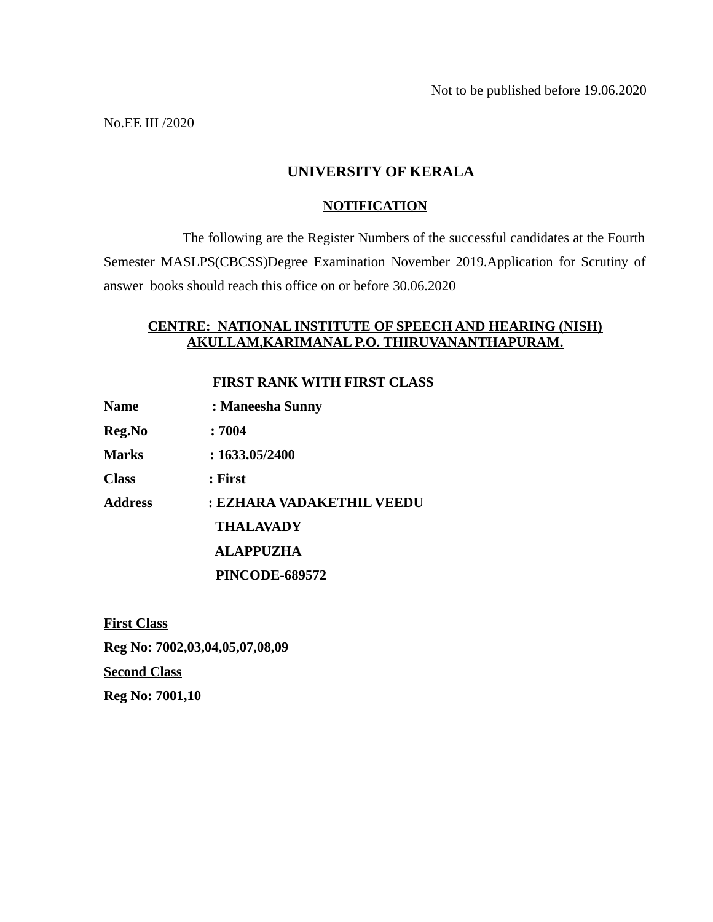No.EE III /2020

## **UNIVERSITY OF KERALA**

#### **NOTIFICATION**

 The following are the Register Numbers of the successful candidates at the Fourth Semester MASLPS(CBCSS)Degree Examination November 2019.Application for Scrutiny of answer books should reach this office on or before 30.06.2020

### **CENTRE: NATIONAL INSTITUTE OF SPEECH AND HEARING (NISH) AKULLAM,KARIMANAL P.O. THIRUVANANTHAPURAM.**

 **FIRST RANK WITH FIRST CLASS**

| Name | : Maneesha Sunny |
|------|------------------|
|------|------------------|

**Reg.No : 7004** 

**Marks : 1633.05/2400**

**Class : First** 

**Address : EZHARA VADAKETHIL VEEDU**

 **THALAVADY**

 **ALAPPUZHA**

 **PINCODE-689572**

**First Class Reg No: 7002,03,04,05,07,08,09 Second Class**

**Reg No: 7001,10**